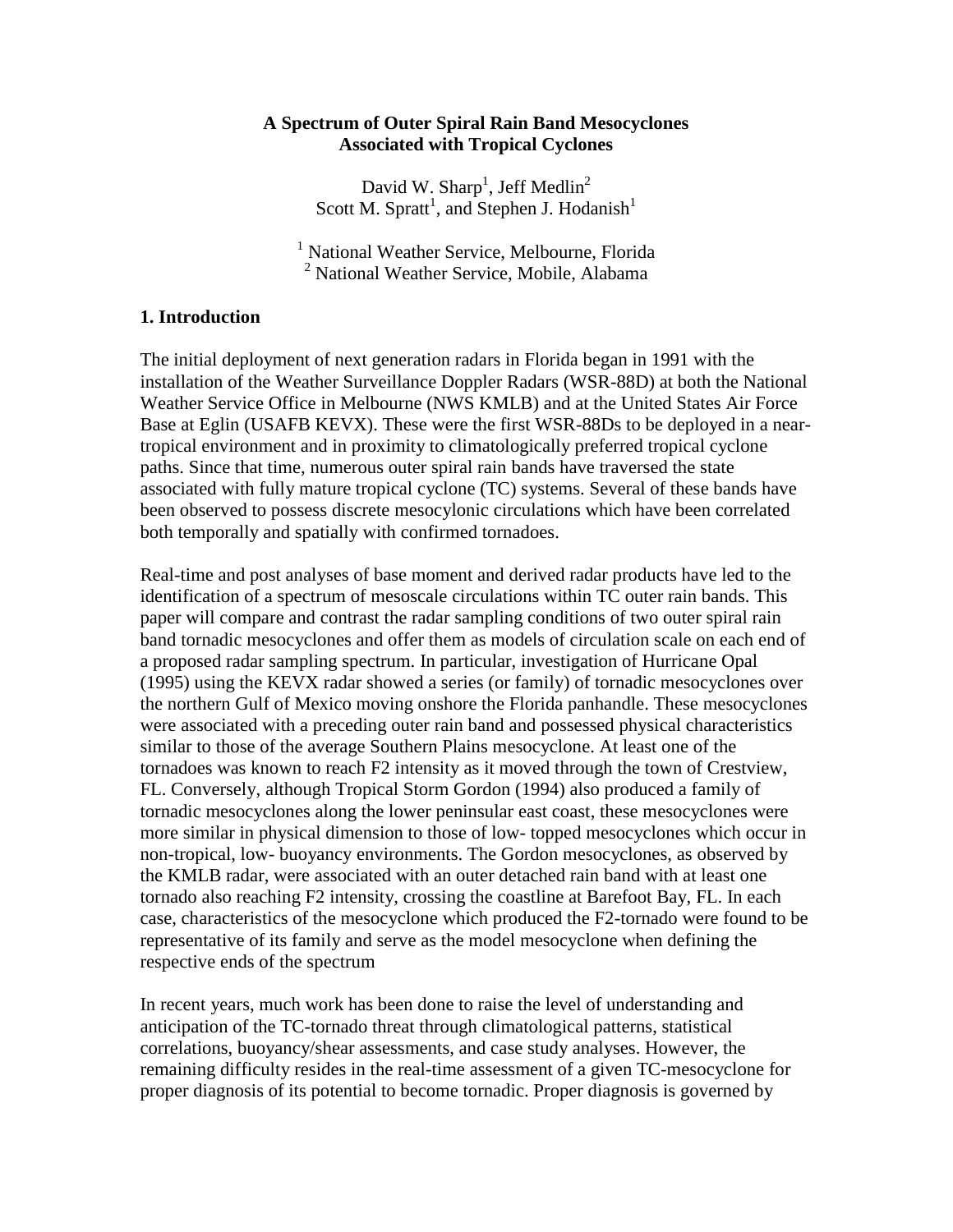### **A Spectrum of Outer Spiral Rain Band Mesocyclones Associated with Tropical Cyclones**

David W. Sharp<sup>1</sup>, Jeff Medlin<sup>2</sup> Scott M. Spratt<sup>1</sup>, and Stephen J. Hodanish<sup>1</sup>

<sup>1</sup> National Weather Service, Melbourne, Florida <sup>2</sup> National Weather Service, Mobile, Alabama

### **1. Introduction**

The initial deployment of next generation radars in Florida began in 1991 with the installation of the Weather Surveillance Doppler Radars (WSR-88D) at both the National Weather Service Office in Melbourne (NWS KMLB) and at the United States Air Force Base at Eglin (USAFB KEVX). These were the first WSR-88Ds to be deployed in a neartropical environment and in proximity to climatologically preferred tropical cyclone paths. Since that time, numerous outer spiral rain bands have traversed the state associated with fully mature tropical cyclone (TC) systems. Several of these bands have been observed to possess discrete mesocylonic circulations which have been correlated both temporally and spatially with confirmed tornadoes.

Real-time and post analyses of base moment and derived radar products have led to the identification of a spectrum of mesoscale circulations within TC outer rain bands. This paper will compare and contrast the radar sampling conditions of two outer spiral rain band tornadic mesocyclones and offer them as models of circulation scale on each end of a proposed radar sampling spectrum. In particular, investigation of Hurricane Opal (1995) using the KEVX radar showed a series (or family) of tornadic mesocyclones over the northern Gulf of Mexico moving onshore the Florida panhandle. These mesocyclones were associated with a preceding outer rain band and possessed physical characteristics similar to those of the average Southern Plains mesocyclone. At least one of the tornadoes was known to reach F2 intensity as it moved through the town of Crestview, FL. Conversely, although Tropical Storm Gordon (1994) also produced a family of tornadic mesocyclones along the lower peninsular east coast, these mesocyclones were more similar in physical dimension to those of low- topped mesocyclones which occur in non-tropical, low- buoyancy environments. The Gordon mesocyclones, as observed by the KMLB radar, were associated with an outer detached rain band with at least one tornado also reaching F2 intensity, crossing the coastline at Barefoot Bay, FL. In each case, characteristics of the mesocyclone which produced the F2-tornado were found to be representative of its family and serve as the model mesocyclone when defining the respective ends of the spectrum

In recent years, much work has been done to raise the level of understanding and anticipation of the TC-tornado threat through climatological patterns, statistical correlations, buoyancy/shear assessments, and case study analyses. However, the remaining difficulty resides in the real-time assessment of a given TC-mesocyclone for proper diagnosis of its potential to become tornadic. Proper diagnosis is governed by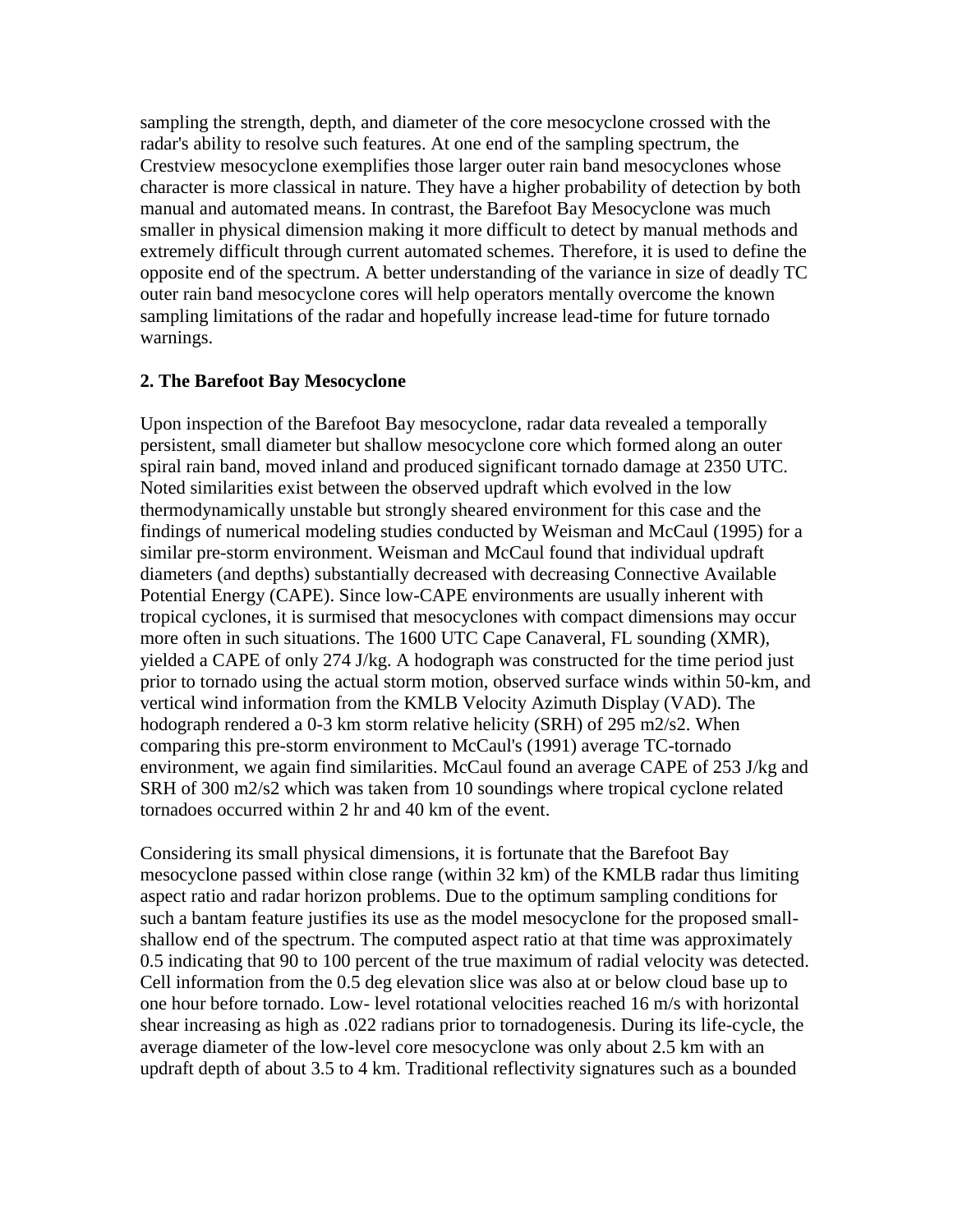sampling the strength, depth, and diameter of the core mesocyclone crossed with the radar's ability to resolve such features. At one end of the sampling spectrum, the Crestview mesocyclone exemplifies those larger outer rain band mesocyclones whose character is more classical in nature. They have a higher probability of detection by both manual and automated means. In contrast, the Barefoot Bay Mesocyclone was much smaller in physical dimension making it more difficult to detect by manual methods and extremely difficult through current automated schemes. Therefore, it is used to define the opposite end of the spectrum. A better understanding of the variance in size of deadly TC outer rain band mesocyclone cores will help operators mentally overcome the known sampling limitations of the radar and hopefully increase lead-time for future tornado warnings.

## **2. The Barefoot Bay Mesocyclone**

Upon inspection of the Barefoot Bay mesocyclone, radar data revealed a temporally persistent, small diameter but shallow mesocyclone core which formed along an outer spiral rain band, moved inland and produced significant tornado damage at 2350 UTC. Noted similarities exist between the observed updraft which evolved in the low thermodynamically unstable but strongly sheared environment for this case and the findings of numerical modeling studies conducted by Weisman and McCaul (1995) for a similar pre-storm environment. Weisman and McCaul found that individual updraft diameters (and depths) substantially decreased with decreasing Connective Available Potential Energy (CAPE). Since low-CAPE environments are usually inherent with tropical cyclones, it is surmised that mesocyclones with compact dimensions may occur more often in such situations. The 1600 UTC Cape Canaveral, FL sounding (XMR), yielded a CAPE of only 274 J/kg. A hodograph was constructed for the time period just prior to tornado using the actual storm motion, observed surface winds within 50-km, and vertical wind information from the KMLB Velocity Azimuth Display (VAD). The hodograph rendered a 0-3 km storm relative helicity (SRH) of 295 m2/s2. When comparing this pre-storm environment to McCaul's (1991) average TC-tornado environment, we again find similarities. McCaul found an average CAPE of 253 J/kg and SRH of 300 m2/s2 which was taken from 10 soundings where tropical cyclone related tornadoes occurred within 2 hr and 40 km of the event.

Considering its small physical dimensions, it is fortunate that the Barefoot Bay mesocyclone passed within close range (within 32 km) of the KMLB radar thus limiting aspect ratio and radar horizon problems. Due to the optimum sampling conditions for such a bantam feature justifies its use as the model mesocyclone for the proposed smallshallow end of the spectrum. The computed aspect ratio at that time was approximately 0.5 indicating that 90 to 100 percent of the true maximum of radial velocity was detected. Cell information from the 0.5 deg elevation slice was also at or below cloud base up to one hour before tornado. Low- level rotational velocities reached 16 m/s with horizontal shear increasing as high as .022 radians prior to tornadogenesis. During its life-cycle, the average diameter of the low-level core mesocyclone was only about 2.5 km with an updraft depth of about 3.5 to 4 km. Traditional reflectivity signatures such as a bounded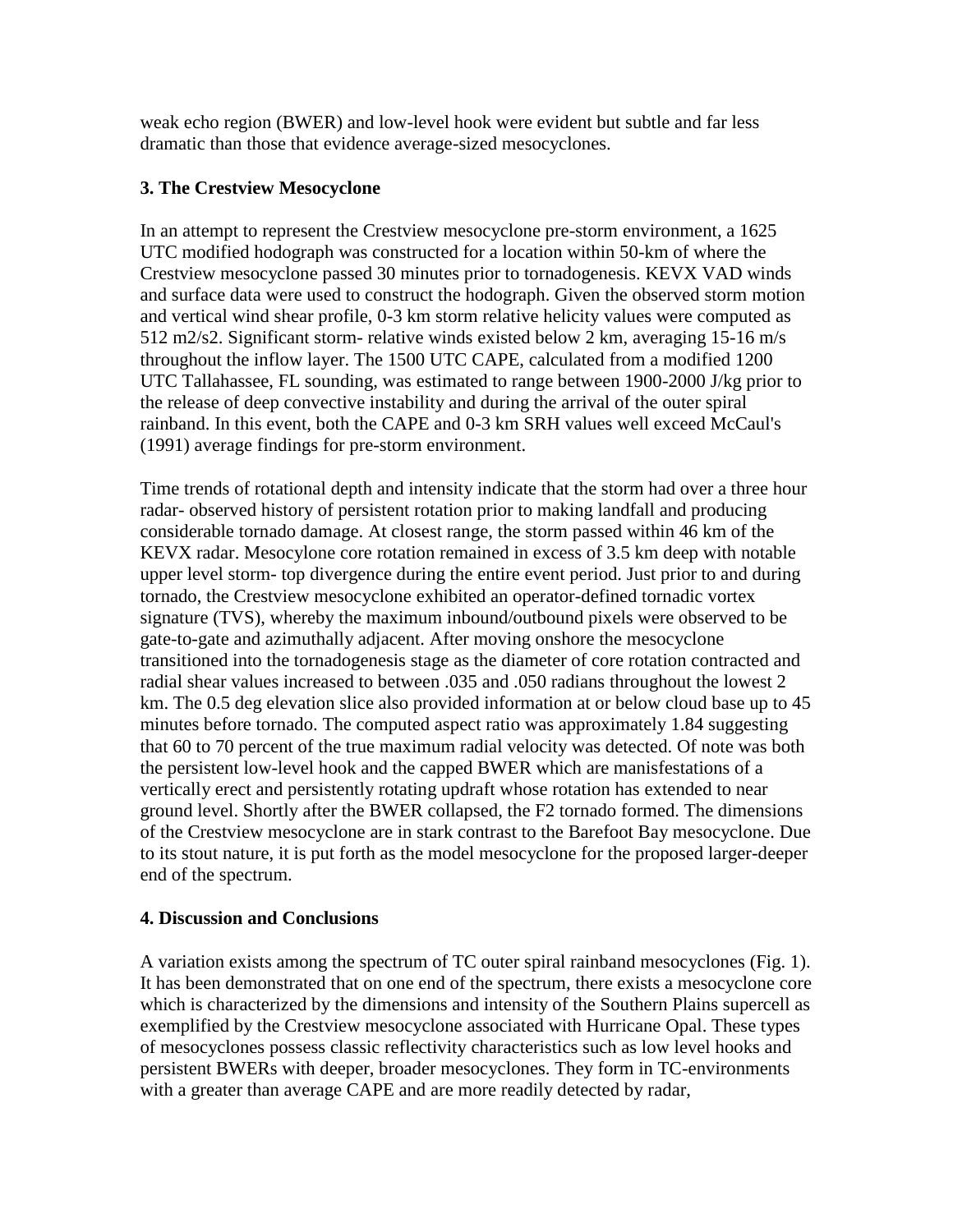weak echo region (BWER) and low-level hook were evident but subtle and far less dramatic than those that evidence average-sized mesocyclones.

# **3. The Crestview Mesocyclone**

In an attempt to represent the Crestview mesocyclone pre-storm environment, a 1625 UTC modified hodograph was constructed for a location within 50-km of where the Crestview mesocyclone passed 30 minutes prior to tornadogenesis. KEVX VAD winds and surface data were used to construct the hodograph. Given the observed storm motion and vertical wind shear profile, 0-3 km storm relative helicity values were computed as 512 m2/s2. Significant storm- relative winds existed below 2 km, averaging 15-16 m/s throughout the inflow layer. The 1500 UTC CAPE, calculated from a modified 1200 UTC Tallahassee, FL sounding, was estimated to range between 1900-2000 J/kg prior to the release of deep convective instability and during the arrival of the outer spiral rainband. In this event, both the CAPE and 0-3 km SRH values well exceed McCaul's (1991) average findings for pre-storm environment.

Time trends of rotational depth and intensity indicate that the storm had over a three hour radar- observed history of persistent rotation prior to making landfall and producing considerable tornado damage. At closest range, the storm passed within 46 km of the KEVX radar. Mesocylone core rotation remained in excess of 3.5 km deep with notable upper level storm- top divergence during the entire event period. Just prior to and during tornado, the Crestview mesocyclone exhibited an operator-defined tornadic vortex signature (TVS), whereby the maximum inbound/outbound pixels were observed to be gate-to-gate and azimuthally adjacent. After moving onshore the mesocyclone transitioned into the tornadogenesis stage as the diameter of core rotation contracted and radial shear values increased to between .035 and .050 radians throughout the lowest 2 km. The 0.5 deg elevation slice also provided information at or below cloud base up to 45 minutes before tornado. The computed aspect ratio was approximately 1.84 suggesting that 60 to 70 percent of the true maximum radial velocity was detected. Of note was both the persistent low-level hook and the capped BWER which are manisfestations of a vertically erect and persistently rotating updraft whose rotation has extended to near ground level. Shortly after the BWER collapsed, the F2 tornado formed. The dimensions of the Crestview mesocyclone are in stark contrast to the Barefoot Bay mesocyclone. Due to its stout nature, it is put forth as the model mesocyclone for the proposed larger-deeper end of the spectrum.

## **4. Discussion and Conclusions**

A variation exists among the spectrum of TC outer spiral rainband mesocyclones (Fig. 1). It has been demonstrated that on one end of the spectrum, there exists a mesocyclone core which is characterized by the dimensions and intensity of the Southern Plains supercell as exemplified by the Crestview mesocyclone associated with Hurricane Opal. These types of mesocyclones possess classic reflectivity characteristics such as low level hooks and persistent BWERs with deeper, broader mesocyclones. They form in TC-environments with a greater than average CAPE and are more readily detected by radar,